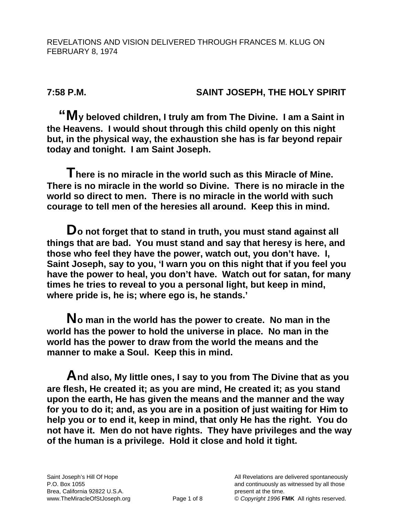**7:58 P.M. SAINT JOSEPH, THE HOLY SPIRIT** 

**"My beloved children, I truly am from The Divine. I am a Saint in the Heavens. I would shout through this child openly on this night but, in the physical way, the exhaustion she has is far beyond repair today and tonight. I am Saint Joseph.** 

**There is no miracle in the world such as this Miracle of Mine. There is no miracle in the world so Divine. There is no miracle in the world so direct to men. There is no miracle in the world with such courage to tell men of the heresies all around. Keep this in mind.** 

**Do not forget that to stand in truth, you must stand against all things that are bad. You must stand and say that heresy is here, and those who feel they have the power, watch out, you don't have. I, Saint Joseph, say to you, 'I warn you on this night that if you feel you have the power to heal, you don't have. Watch out for satan, for many times he tries to reveal to you a personal light, but keep in mind, where pride is, he is; where ego is, he stands.'** 

**No man in the world has the power to create. No man in the world has the power to hold the universe in place. No man in the world has the power to draw from the world the means and the manner to make a Soul. Keep this in mind.** 

**And also, My little ones, I say to you from The Divine that as you are flesh, He created it; as you are mind, He created it; as you stand upon the earth, He has given the means and the manner and the way for you to do it; and, as you are in a position of just waiting for Him to help you or to end it, keep in mind, that only He has the right. You do not have it. Men do not have rights. They have privileges and the way of the human is a privilege. Hold it close and hold it tight.**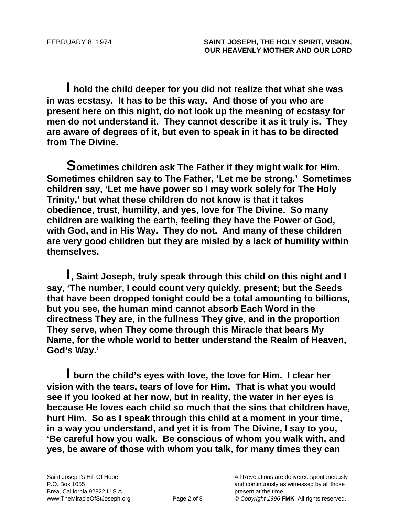**I hold the child deeper for you did not realize that what she was in was ecstasy. It has to be this way. And those of you who are present here on this night, do not look up the meaning of ecstasy for men do not understand it. They cannot describe it as it truly is. They are aware of degrees of it, but even to speak in it has to be directed from The Divine.** 

**Sometimes children ask The Father if they might walk for Him. Sometimes children say to The Father, 'Let me be strong.' Sometimes children say, 'Let me have power so I may work solely for The Holy Trinity,' but what these children do not know is that it takes obedience, trust, humility, and yes, love for The Divine. So many children are walking the earth, feeling they have the Power of God, with God, and in His Way. They do not. And many of these children are very good children but they are misled by a lack of humility within themselves.** 

**I, Saint Joseph, truly speak through this child on this night and I say, 'The number, I could count very quickly, present; but the Seeds that have been dropped tonight could be a total amounting to billions, but you see, the human mind cannot absorb Each Word in the directness They are, in the fullness They give, and in the proportion They serve, when They come through this Miracle that bears My Name, for the whole world to better understand the Realm of Heaven, God's Way.'** 

**I burn the child's eyes with love, the love for Him. I clear her vision with the tears, tears of love for Him. That is what you would see if you looked at her now, but in reality, the water in her eyes is because He loves each child so much that the sins that children have, hurt Him. So as I speak through this child at a moment in your time, in a way you understand, and yet it is from The Divine, I say to you, 'Be careful how you walk. Be conscious of whom you walk with, and yes, be aware of those with whom you talk, for many times they can**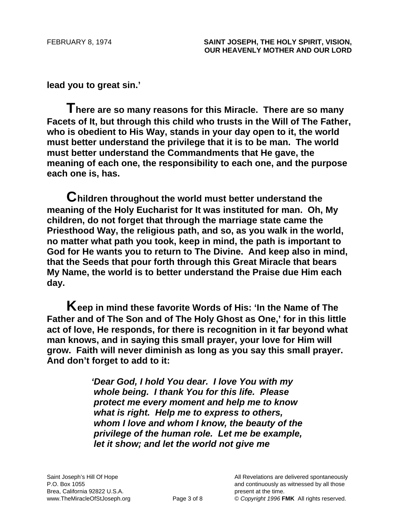**lead you to great sin.'** 

**There are so many reasons for this Miracle. There are so many Facets of It, but through this child who trusts in the Will of The Father, who is obedient to His Way, stands in your day open to it, the world must better understand the privilege that it is to be man. The world must better understand the Commandments that He gave, the meaning of each one, the responsibility to each one, and the purpose each one is, has.** 

**Children throughout the world must better understand the meaning of the Holy Eucharist for It was instituted for man. Oh, My children, do not forget that through the marriage state came the Priesthood Way, the religious path, and so, as you walk in the world, no matter what path you took, keep in mind, the path is important to God for He wants you to return to The Divine. And keep also in mind, that the Seeds that pour forth through this Great Miracle that bears My Name, the world is to better understand the Praise due Him each day.** 

**Keep in mind these favorite Words of His: 'In the Name of The Father and of The Son and of The Holy Ghost as One,' for in this little act of love, He responds, for there is recognition in it far beyond what man knows, and in saying this small prayer, your love for Him will grow. Faith will never diminish as long as you say this small prayer. And don't forget to add to it:** 

> *'Dear God, I hold You dear. I love You with my whole being. I thank You for this life. Please protect me every moment and help me to know what is right. Help me to express to others, whom I love and whom I know, the beauty of the privilege of the human role. Let me be example, let it show; and let the world not give me*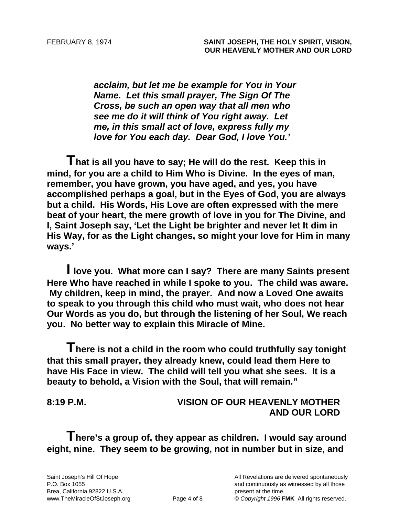*acclaim, but let me be example for You in Your Name. Let this small prayer, The Sign Of The Cross, be such an open way that all men who see me do it will think of You right away. Let me, in this small act of love, express fully my love for You each day. Dear God, I love You.'* 

**That is all you have to say; He will do the rest. Keep this in mind, for you are a child to Him Who is Divine. In the eyes of man, remember, you have grown, you have aged, and yes, you have accomplished perhaps a goal, but in the Eyes of God, you are always but a child. His Words, His Love are often expressed with the mere beat of your heart, the mere growth of love in you for The Divine, and I, Saint Joseph say, 'Let the Light be brighter and never let It dim in His Way, for as the Light changes, so might your love for Him in many ways.'** 

**I love you. What more can I say? There are many Saints present Here Who have reached in while I spoke to you. The child was aware. My children, keep in mind, the prayer. And now a Loved One awaits to speak to you through this child who must wait, who does not hear Our Words as you do, but through the listening of her Soul, We reach you. No better way to explain this Miracle of Mine.** 

**There is not a child in the room who could truthfully say tonight that this small prayer, they already knew, could lead them Here to have His Face in view. The child will tell you what she sees. It is a beauty to behold, a Vision with the Soul, that will remain."** 

## **8:19 P.M. VISION OF OUR HEAVENLY MOTHER AND OUR LORD**

**There's a group of, they appear as children. I would say around eight, nine. They seem to be growing, not in number but in size, and**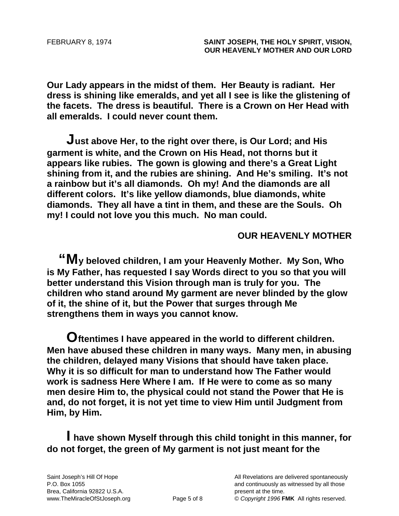**Our Lady appears in the midst of them. Her Beauty is radiant. Her dress is shining like emeralds, and yet all I see is like the glistening of the facets. The dress is beautiful. There is a Crown on Her Head with all emeralds. I could never count them.** 

**Just above Her, to the right over there, is Our Lord; and His garment is white, and the Crown on His Head, not thorns but it appears like rubies. The gown is glowing and there's a Great Light shining from it, and the rubies are shining. And He's smiling. It's not a rainbow but it's all diamonds. Oh my! And the diamonds are all different colors. It's like yellow diamonds, blue diamonds, white diamonds. They all have a tint in them, and these are the Souls. Oh my! I could not love you this much. No man could.** 

## **OUR HEAVENLY MOTHER**

**"My beloved children, I am your Heavenly Mother. My Son, Who is My Father, has requested I say Words direct to you so that you will better understand this Vision through man is truly for you. The children who stand around My garment are never blinded by the glow of it, the shine of it, but the Power that surges through Me strengthens them in ways you cannot know.** 

**Oftentimes I have appeared in the world to different children. Men have abused these children in many ways. Many men, in abusing the children, delayed many Visions that should have taken place. Why it is so difficult for man to understand how The Father would work is sadness Here Where I am. If He were to come as so many men desire Him to, the physical could not stand the Power that He is and, do not forget, it is not yet time to view Him until Judgment from Him, by Him.** 

**I have shown Myself through this child tonight in this manner, for do not forget, the green of My garment is not just meant for the**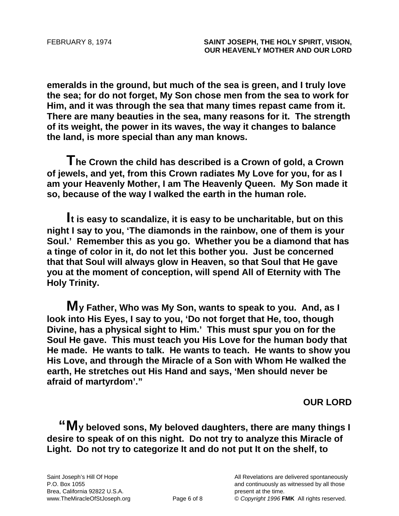**emeralds in the ground, but much of the sea is green, and I truly love the sea; for do not forget, My Son chose men from the sea to work for Him, and it was through the sea that many times repast came from it. There are many beauties in the sea, many reasons for it. The strength of its weight, the power in its waves, the way it changes to balance the land, is more special than any man knows.** 

**The Crown the child has described is a Crown of gold, a Crown of jewels, and yet, from this Crown radiates My Love for you, for as I am your Heavenly Mother, I am The Heavenly Queen. My Son made it so, because of the way I walked the earth in the human role.** 

**It is easy to scandalize, it is easy to be uncharitable, but on this night I say to you, 'The diamonds in the rainbow, one of them is your Soul.' Remember this as you go. Whether you be a diamond that has a tinge of color in it, do not let this bother you. Just be concerned that that Soul will always glow in Heaven, so that Soul that He gave you at the moment of conception, will spend All of Eternity with The Holy Trinity.** 

**My Father, Who was My Son, wants to speak to you. And, as I look into His Eyes, I say to you, 'Do not forget that He, too, though Divine, has a physical sight to Him.' This must spur you on for the Soul He gave. This must teach you His Love for the human body that He made. He wants to talk. He wants to teach. He wants to show you His Love, and through the Miracle of a Son with Whom He walked the earth, He stretches out His Hand and says, 'Men should never be afraid of martyrdom'."** 

**OUR LORD** 

**"My beloved sons, My beloved daughters, there are many things I desire to speak of on this night. Do not try to analyze this Miracle of Light. Do not try to categorize It and do not put It on the shelf, to**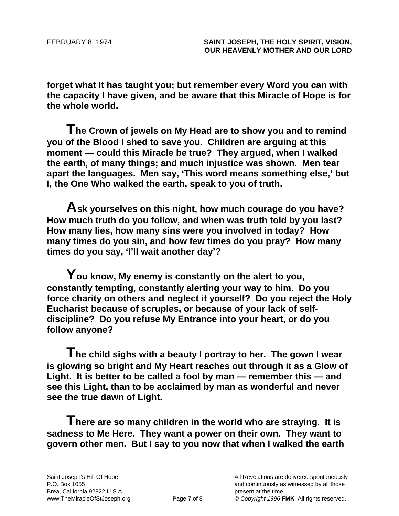**forget what It has taught you; but remember every Word you can with the capacity I have given, and be aware that this Miracle of Hope is for the whole world.** 

**The Crown of jewels on My Head are to show you and to remind you of the Blood I shed to save you. Children are arguing at this moment — could this Miracle be true? They argued, when I walked the earth, of many things; and much injustice was shown. Men tear apart the languages. Men say, 'This word means something else,' but I, the One Who walked the earth, speak to you of truth.** 

**Ask yourselves on this night, how much courage do you have? How much truth do you follow, and when was truth told by you last? How many lies, how many sins were you involved in today? How many times do you sin, and how few times do you pray? How many times do you say, 'I'll wait another day'?** 

**You know, My enemy is constantly on the alert to you, constantly tempting, constantly alerting your way to him. Do you force charity on others and neglect it yourself? Do you reject the Holy Eucharist because of scruples, or because of your lack of selfdiscipline? Do you refuse My Entrance into your heart, or do you follow anyone?** 

**The child sighs with a beauty I portray to her. The gown I wear is glowing so bright and My Heart reaches out through it as a Glow of Light. It is better to be called a fool by man — remember this — and see this Light, than to be acclaimed by man as wonderful and never see the true dawn of Light.** 

**There are so many children in the world who are straying. It is sadness to Me Here. They want a power on their own. They want to govern other men. But I say to you now that when I walked the earth**